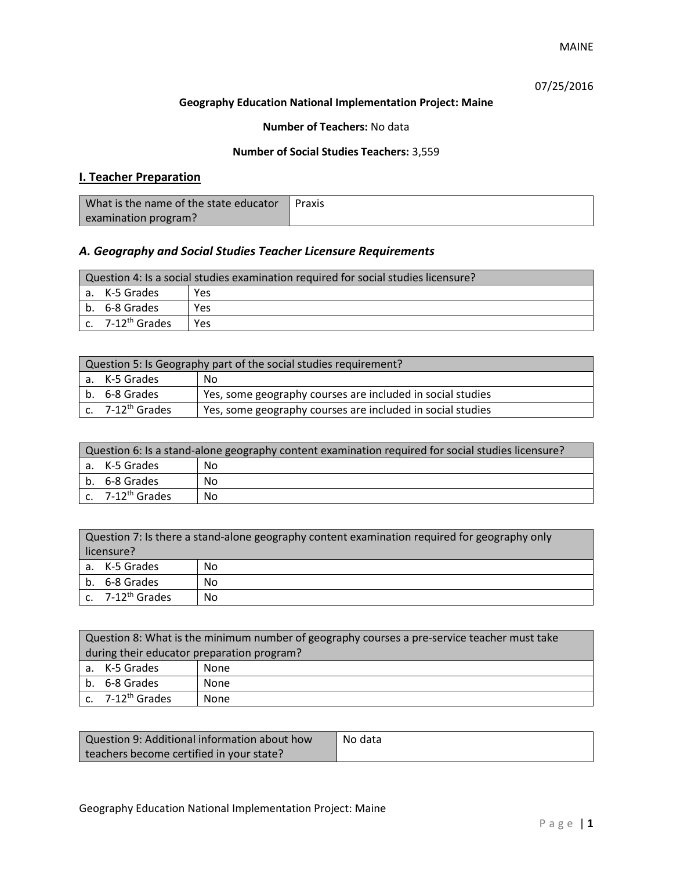MAINE

## 07/25/2016

#### **Geography Education National Implementation Project: Maine**

#### **Number of Teachers:** No data

#### **Number of Social Studies Teachers:** 3,559

# **I. Teacher Preparation**

| What is the name of the state educator | Praxis |
|----------------------------------------|--------|
| examination program?                   |        |

## *A. Geography and Social Studies Teacher Licensure Requirements*

| Question 4: Is a social studies examination required for social studies licensure? |                       |     |
|------------------------------------------------------------------------------------|-----------------------|-----|
|                                                                                    | a. K-5 Grades         | Yes |
|                                                                                    | b. 6-8 Grades         | Yes |
|                                                                                    | c. $7-12^{th}$ Grades | Yes |

| Question 5: Is Geography part of the social studies requirement? |                              |                                                            |  |
|------------------------------------------------------------------|------------------------------|------------------------------------------------------------|--|
|                                                                  | a. K-5 Grades                | No                                                         |  |
|                                                                  | l b. 6-8 Grades              | Yes, some geography courses are included in social studies |  |
|                                                                  | c. 7-12 <sup>th</sup> Grades | Yes, some geography courses are included in social studies |  |

| Question 6: Is a stand-alone geography content examination required for social studies licensure? |                              |    |  |
|---------------------------------------------------------------------------------------------------|------------------------------|----|--|
|                                                                                                   | a. K-5 Grades                | No |  |
|                                                                                                   | b. 6-8 Grades                | No |  |
|                                                                                                   | c. 7-12 <sup>th</sup> Grades | No |  |

| Question 7: Is there a stand-alone geography content examination required for geography only<br>licensure? |    |  |
|------------------------------------------------------------------------------------------------------------|----|--|
| a. K-5 Grades                                                                                              | No |  |
| b. 6-8 Grades                                                                                              | No |  |
| c. 7-12 <sup>th</sup> Grades                                                                               | No |  |

|                                            | Question 8: What is the minimum number of geography courses a pre-service teacher must take |      |  |
|--------------------------------------------|---------------------------------------------------------------------------------------------|------|--|
| during their educator preparation program? |                                                                                             |      |  |
|                                            | a. K-5 Grades                                                                               | None |  |
|                                            | b. 6-8 Grades                                                                               | None |  |
|                                            | c. $7-12^{th}$ Grades                                                                       | None |  |

| Question 9: Additional information about how | No data |
|----------------------------------------------|---------|
| teachers become certified in your state?     |         |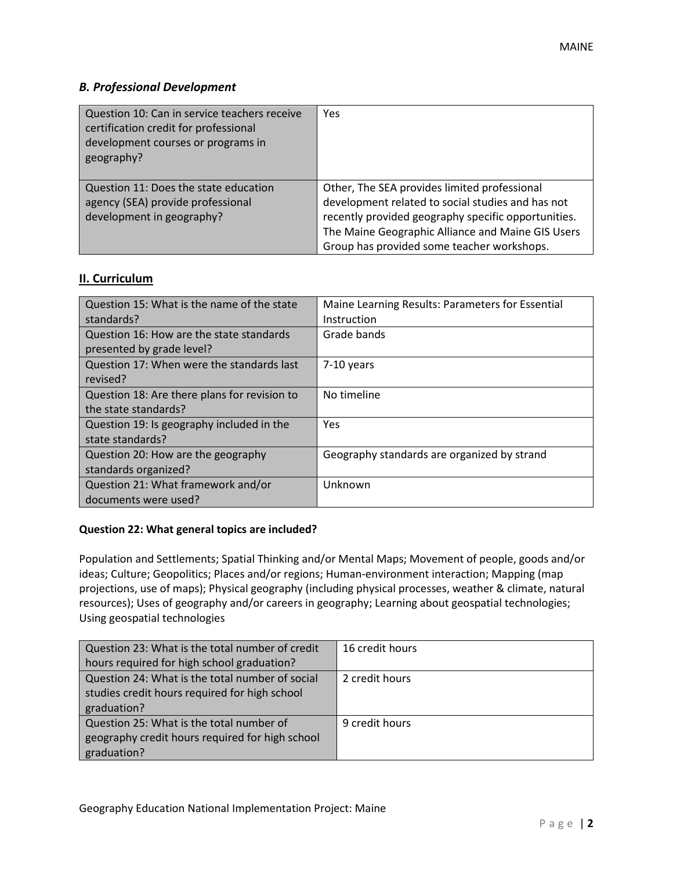## *B. Professional Development*

| Question 10: Can in service teachers receive<br>certification credit for professional<br>development courses or programs in<br>geography? | Yes                                                                                                                                                                                                                                                         |
|-------------------------------------------------------------------------------------------------------------------------------------------|-------------------------------------------------------------------------------------------------------------------------------------------------------------------------------------------------------------------------------------------------------------|
| Question 11: Does the state education<br>agency (SEA) provide professional<br>development in geography?                                   | Other, The SEA provides limited professional<br>development related to social studies and has not<br>recently provided geography specific opportunities.<br>The Maine Geographic Alliance and Maine GIS Users<br>Group has provided some teacher workshops. |

## **II. Curriculum**

| Question 15: What is the name of the state<br>standards?              | Maine Learning Results: Parameters for Essential<br>Instruction |
|-----------------------------------------------------------------------|-----------------------------------------------------------------|
| Question 16: How are the state standards<br>presented by grade level? | Grade bands                                                     |
| Question 17: When were the standards last<br>revised?                 | 7-10 years                                                      |
| Question 18: Are there plans for revision to                          | No timeline                                                     |
| the state standards?                                                  |                                                                 |
| Question 19: Is geography included in the                             | <b>Yes</b>                                                      |
| state standards?                                                      |                                                                 |
| Question 20: How are the geography                                    | Geography standards are organized by strand                     |
| standards organized?                                                  |                                                                 |
| Question 21: What framework and/or                                    | Unknown                                                         |
| documents were used?                                                  |                                                                 |

### **Question 22: What general topics are included?**

Population and Settlements; Spatial Thinking and/or Mental Maps; Movement of people, goods and/or ideas; Culture; Geopolitics; Places and/or regions; Human-environment interaction; Mapping (map projections, use of maps); Physical geography (including physical processes, weather & climate, natural resources); Uses of geography and/or careers in geography; Learning about geospatial technologies; Using geospatial technologies

| Question 23: What is the total number of credit | 16 credit hours |
|-------------------------------------------------|-----------------|
| hours required for high school graduation?      |                 |
| Question 24: What is the total number of social | 2 credit hours  |
| studies credit hours required for high school   |                 |
| graduation?                                     |                 |
| Question 25: What is the total number of        | 9 credit hours  |
| geography credit hours required for high school |                 |
| graduation?                                     |                 |